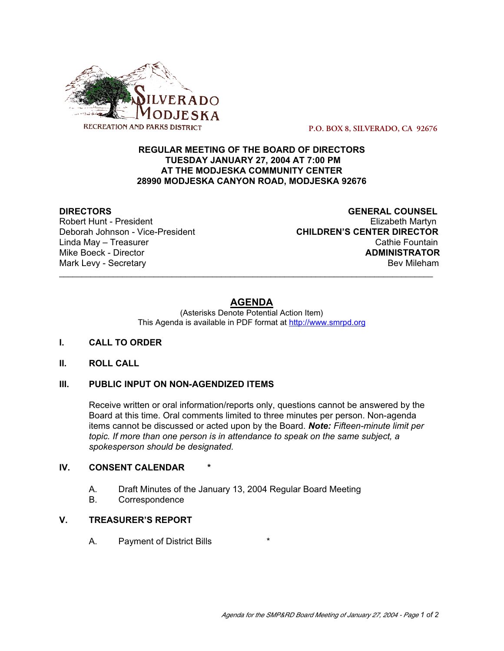

 **P.O. BOX 8, SILVERADO, CA 92676**

### **REGULAR MEETING OF THE BOARD OF DIRECTORS TUESDAY JANUARY 27, 2004 AT 7:00 PM AT THE MODJESKA COMMUNITY CENTER 28990 MODJESKA CANYON ROAD, MODJESKA 92676**

Robert Hunt - President<br>Deborah Johnson - Vice-President

**DIRECTORS**<br>
Robert Hunt - President<br>
Robert Hunt - President **CHILDREN'S CENTER DIRECTOR** Linda May – Treasurer Cathie Fountain Mike Boeck - Director **ADMINISTRATOR** Mark Levy - Secretary **Bev Mileham** Bev Mileham **Bev Mileham** 

# **AGENDA**

\_\_\_\_\_\_\_\_\_\_\_\_\_\_\_\_\_\_\_\_\_\_\_\_\_\_\_\_\_\_\_\_\_\_\_\_\_\_\_\_\_\_\_\_\_\_\_\_\_\_\_\_\_\_\_\_\_\_\_\_\_\_\_\_\_\_\_\_\_\_\_\_\_\_\_\_\_\_\_\_\_\_\_

(Asterisks Denote Potential Action Item) This Agenda is available in PDF format at http://www.smrpd.org

#### **I. CALL TO ORDER**

#### **II. ROLL CALL**

## **III. PUBLIC INPUT ON NON-AGENDIZED ITEMS**

Receive written or oral information/reports only, questions cannot be answered by the Board at this time. Oral comments limited to three minutes per person. Non-agenda items cannot be discussed or acted upon by the Board. *Note: Fifteen-minute limit per topic. If more than one person is in attendance to speak on the same subject, a spokesperson should be designated.*

### **IV. CONSENT CALENDAR**

- A. Draft Minutes of the January 13, 2004 Regular Board Meeting
- B. Correspondence

## **V. TREASURER'S REPORT**

A. Payment of District Bills